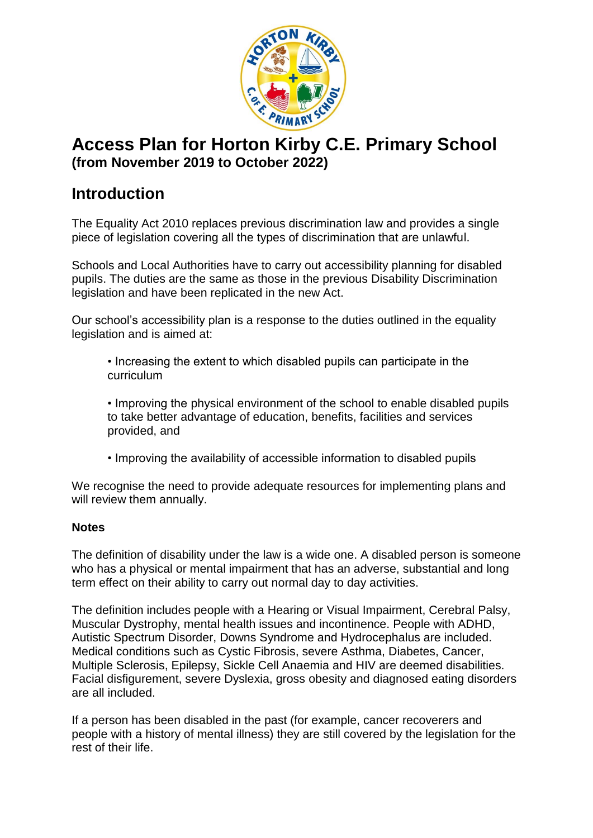

# **Access Plan for Horton Kirby C.E. Primary School (from November 2019 to October 2022)**

# **Introduction**

The Equality Act 2010 replaces previous discrimination law and provides a single piece of legislation covering all the types of discrimination that are unlawful.

Schools and Local Authorities have to carry out accessibility planning for disabled pupils. The duties are the same as those in the previous Disability Discrimination legislation and have been replicated in the new Act.

Our school's accessibility plan is a response to the duties outlined in the equality legislation and is aimed at:

• Increasing the extent to which disabled pupils can participate in the curriculum

• Improving the physical environment of the school to enable disabled pupils to take better advantage of education, benefits, facilities and services provided, and

• Improving the availability of accessible information to disabled pupils

We recognise the need to provide adequate resources for implementing plans and will review them annually.

### **Notes**

The definition of disability under the law is a wide one. A disabled person is someone who has a physical or mental impairment that has an adverse, substantial and long term effect on their ability to carry out normal day to day activities.

The definition includes people with a Hearing or Visual Impairment, Cerebral Palsy, Muscular Dystrophy, mental health issues and incontinence. People with ADHD, Autistic Spectrum Disorder, Downs Syndrome and Hydrocephalus are included. Medical conditions such as Cystic Fibrosis, severe Asthma, Diabetes, Cancer, Multiple Sclerosis, Epilepsy, Sickle Cell Anaemia and HIV are deemed disabilities. Facial disfigurement, severe Dyslexia, gross obesity and diagnosed eating disorders are all included.

If a person has been disabled in the past (for example, cancer recoverers and people with a history of mental illness) they are still covered by the legislation for the rest of their life.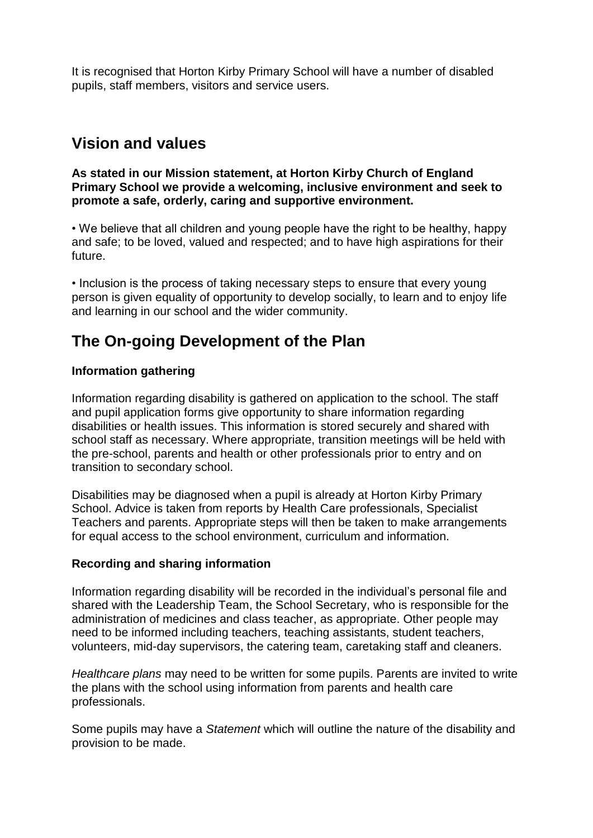It is recognised that Horton Kirby Primary School will have a number of disabled pupils, staff members, visitors and service users.

## **Vision and values**

**As stated in our Mission statement, at Horton Kirby Church of England Primary School we provide a welcoming, inclusive environment and seek to promote a safe, orderly, caring and supportive environment.**

• We believe that all children and young people have the right to be healthy, happy and safe; to be loved, valued and respected; and to have high aspirations for their future.

• Inclusion is the process of taking necessary steps to ensure that every young person is given equality of opportunity to develop socially, to learn and to enjoy life and learning in our school and the wider community.

## **The On-going Development of the Plan**

#### **Information gathering**

Information regarding disability is gathered on application to the school. The staff and pupil application forms give opportunity to share information regarding disabilities or health issues. This information is stored securely and shared with school staff as necessary. Where appropriate, transition meetings will be held with the pre-school, parents and health or other professionals prior to entry and on transition to secondary school.

Disabilities may be diagnosed when a pupil is already at Horton Kirby Primary School. Advice is taken from reports by Health Care professionals, Specialist Teachers and parents. Appropriate steps will then be taken to make arrangements for equal access to the school environment, curriculum and information.

#### **Recording and sharing information**

Information regarding disability will be recorded in the individual's personal file and shared with the Leadership Team, the School Secretary, who is responsible for the administration of medicines and class teacher, as appropriate. Other people may need to be informed including teachers, teaching assistants, student teachers, volunteers, mid-day supervisors, the catering team, caretaking staff and cleaners.

*Healthcare plans* may need to be written for some pupils. Parents are invited to write the plans with the school using information from parents and health care professionals.

Some pupils may have a *Statement* which will outline the nature of the disability and provision to be made.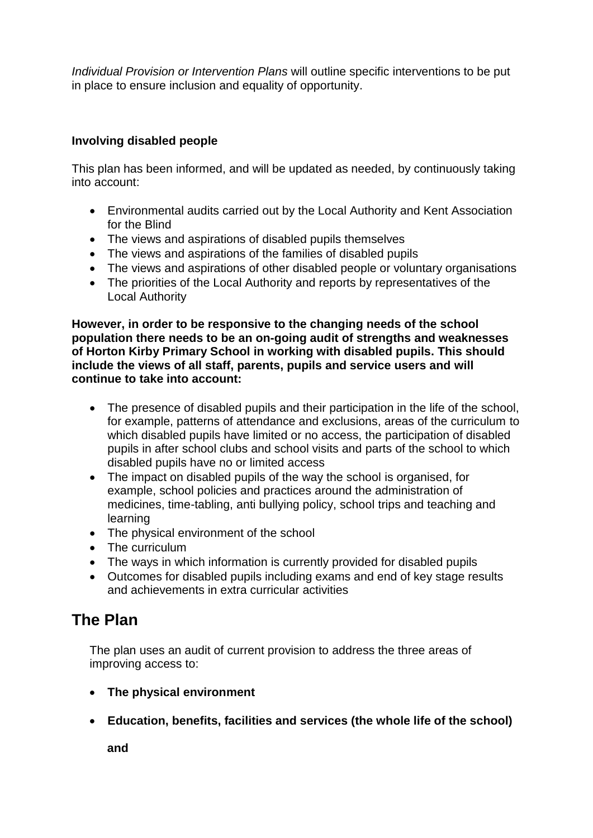*Individual Provision or Intervention Plans* will outline specific interventions to be put in place to ensure inclusion and equality of opportunity.

### **Involving disabled people**

This plan has been informed, and will be updated as needed, by continuously taking into account:

- Environmental audits carried out by the Local Authority and Kent Association for the Blind
- The views and aspirations of disabled pupils themselves
- The views and aspirations of the families of disabled pupils
- The views and aspirations of other disabled people or voluntary organisations
- The priorities of the Local Authority and reports by representatives of the Local Authority

**However, in order to be responsive to the changing needs of the school population there needs to be an on-going audit of strengths and weaknesses of Horton Kirby Primary School in working with disabled pupils. This should include the views of all staff, parents, pupils and service users and will continue to take into account:**

- The presence of disabled pupils and their participation in the life of the school, for example, patterns of attendance and exclusions, areas of the curriculum to which disabled pupils have limited or no access, the participation of disabled pupils in after school clubs and school visits and parts of the school to which disabled pupils have no or limited access
- The impact on disabled pupils of the way the school is organised, for example, school policies and practices around the administration of medicines, time-tabling, anti bullying policy, school trips and teaching and learning
- The physical environment of the school
- The curriculum
- The ways in which information is currently provided for disabled pupils
- Outcomes for disabled pupils including exams and end of key stage results and achievements in extra curricular activities

### **The Plan**

The plan uses an audit of current provision to address the three areas of improving access to:

- **The physical environment**
- **Education, benefits, facilities and services (the whole life of the school)**

**and**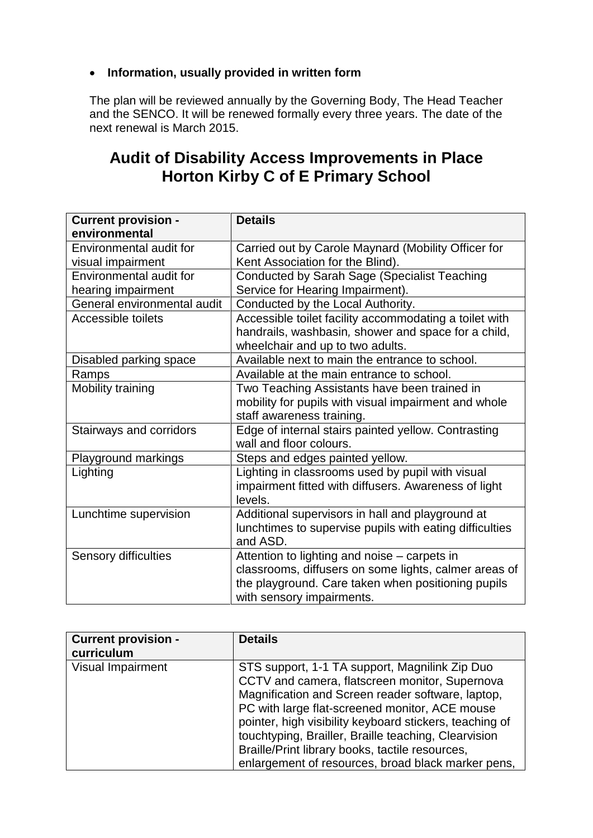### **Information, usually provided in written form**

The plan will be reviewed annually by the Governing Body, The Head Teacher and the SENCO. It will be renewed formally every three years. The date of the next renewal is March 2015.

## **Audit of Disability Access Improvements in Place Horton Kirby C of E Primary School**

| <b>Current provision -</b>  | <b>Details</b>                                          |  |
|-----------------------------|---------------------------------------------------------|--|
| environmental               |                                                         |  |
| Environmental audit for     | Carried out by Carole Maynard (Mobility Officer for     |  |
| visual impairment           | Kent Association for the Blind).                        |  |
| Environmental audit for     | Conducted by Sarah Sage (Specialist Teaching            |  |
| hearing impairment          | Service for Hearing Impairment).                        |  |
| General environmental audit | Conducted by the Local Authority.                       |  |
| Accessible toilets          | Accessible toilet facility accommodating a toilet with  |  |
|                             | handrails, washbasin, shower and space for a child,     |  |
|                             | wheelchair and up to two adults.                        |  |
| Disabled parking space      | Available next to main the entrance to school.          |  |
| Ramps                       | Available at the main entrance to school.               |  |
| Mobility training           | Two Teaching Assistants have been trained in            |  |
|                             | mobility for pupils with visual impairment and whole    |  |
|                             | staff awareness training.                               |  |
| Stairways and corridors     | Edge of internal stairs painted yellow. Contrasting     |  |
|                             | wall and floor colours.                                 |  |
| Playground markings         | Steps and edges painted yellow.                         |  |
| Lighting                    | Lighting in classrooms used by pupil with visual        |  |
|                             | impairment fitted with diffusers. Awareness of light    |  |
|                             | levels.                                                 |  |
| Lunchtime supervision       | Additional supervisors in hall and playground at        |  |
|                             | lunchtimes to supervise pupils with eating difficulties |  |
|                             | and ASD.                                                |  |
| Sensory difficulties        | Attention to lighting and noise - carpets in            |  |
|                             | classrooms, diffusers on some lights, calmer areas of   |  |
|                             | the playground. Care taken when positioning pupils      |  |
|                             | with sensory impairments.                               |  |

| <b>Current provision -</b><br>curriculum | <b>Details</b>                                                                                                                                                                                                                                                                                                                                                                                                                      |
|------------------------------------------|-------------------------------------------------------------------------------------------------------------------------------------------------------------------------------------------------------------------------------------------------------------------------------------------------------------------------------------------------------------------------------------------------------------------------------------|
| Visual Impairment                        | STS support, 1-1 TA support, Magnilink Zip Duo<br>CCTV and camera, flatscreen monitor, Supernova<br>Magnification and Screen reader software, laptop,<br>PC with large flat-screened monitor, ACE mouse<br>pointer, high visibility keyboard stickers, teaching of<br>touchtyping, Brailler, Braille teaching, Clearvision<br>Braille/Print library books, tactile resources,<br>enlargement of resources, broad black marker pens, |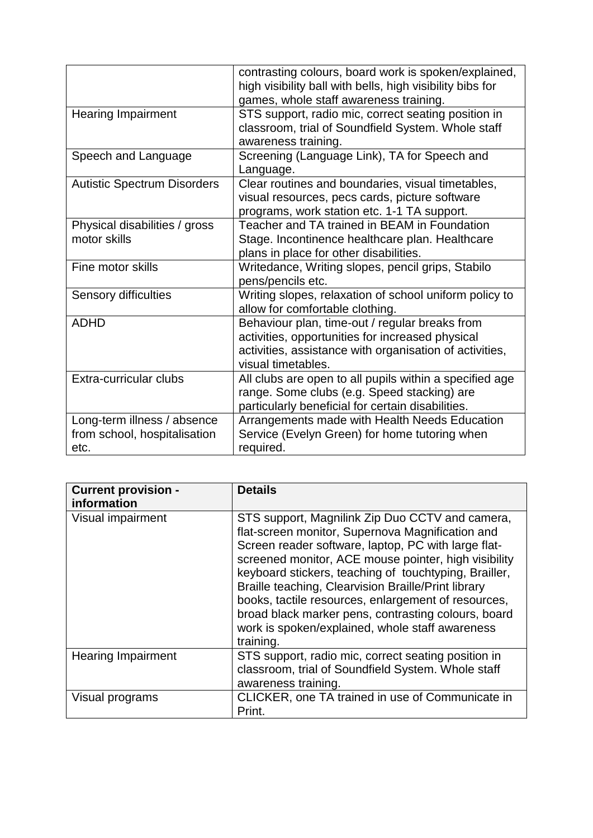|                                                                     | contrasting colours, board work is spoken/explained,<br>high visibility ball with bells, high visibility bibs for<br>games, whole staff awareness training.                         |
|---------------------------------------------------------------------|-------------------------------------------------------------------------------------------------------------------------------------------------------------------------------------|
| <b>Hearing Impairment</b>                                           | STS support, radio mic, correct seating position in<br>classroom, trial of Soundfield System. Whole staff<br>awareness training.                                                    |
| Speech and Language                                                 | Screening (Language Link), TA for Speech and<br>Language.                                                                                                                           |
| <b>Autistic Spectrum Disorders</b>                                  | Clear routines and boundaries, visual timetables,<br>visual resources, pecs cards, picture software<br>programs, work station etc. 1-1 TA support.                                  |
| Physical disabilities / gross<br>motor skills                       | Teacher and TA trained in BEAM in Foundation<br>Stage. Incontinence healthcare plan. Healthcare<br>plans in place for other disabilities.                                           |
| Fine motor skills                                                   | Writedance, Writing slopes, pencil grips, Stabilo<br>pens/pencils etc.                                                                                                              |
| Sensory difficulties                                                | Writing slopes, relaxation of school uniform policy to<br>allow for comfortable clothing.                                                                                           |
| <b>ADHD</b>                                                         | Behaviour plan, time-out / regular breaks from<br>activities, opportunities for increased physical<br>activities, assistance with organisation of activities,<br>visual timetables. |
| Extra-curricular clubs                                              | All clubs are open to all pupils within a specified age<br>range. Some clubs (e.g. Speed stacking) are<br>particularly beneficial for certain disabilities.                         |
| Long-term illness / absence<br>from school, hospitalisation<br>etc. | Arrangements made with Health Needs Education<br>Service (Evelyn Green) for home tutoring when<br>required.                                                                         |

| <b>Current provision -</b> | <b>Details</b>                                                                                                                                                                                                                                                                                                                                                                                                                                                                                                   |
|----------------------------|------------------------------------------------------------------------------------------------------------------------------------------------------------------------------------------------------------------------------------------------------------------------------------------------------------------------------------------------------------------------------------------------------------------------------------------------------------------------------------------------------------------|
| information                |                                                                                                                                                                                                                                                                                                                                                                                                                                                                                                                  |
| Visual impairment          | STS support, Magnilink Zip Duo CCTV and camera,<br>flat-screen monitor, Supernova Magnification and<br>Screen reader software, laptop, PC with large flat-<br>screened monitor, ACE mouse pointer, high visibility<br>keyboard stickers, teaching of touchtyping, Brailler,<br>Braille teaching, Clearvision Braille/Print library<br>books, tactile resources, enlargement of resources,<br>broad black marker pens, contrasting colours, board<br>work is spoken/explained, whole staff awareness<br>training. |
| <b>Hearing Impairment</b>  | STS support, radio mic, correct seating position in<br>classroom, trial of Soundfield System. Whole staff<br>awareness training.                                                                                                                                                                                                                                                                                                                                                                                 |
| Visual programs            | CLICKER, one TA trained in use of Communicate in<br>Print.                                                                                                                                                                                                                                                                                                                                                                                                                                                       |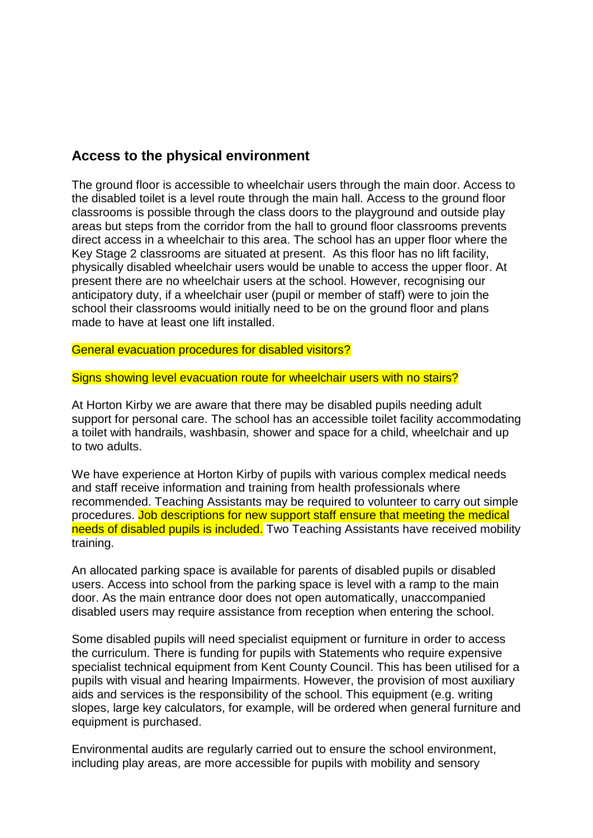### **Access to the physical environment**

The ground floor is accessible to wheelchair users through the main door. Access to the disabled toilet is a level route through the main hall. Access to the ground floor classrooms is possible through the class doors to the playground and outside play areas but steps from the corridor from the hall to ground floor classrooms prevents direct access in a wheelchair to this area. The school has an upper floor where the Key Stage 2 classrooms are situated at present. As this floor has no lift facility, physically disabled wheelchair users would be unable to access the upper floor. At present there are no wheelchair users at the school. However, recognising our anticipatory duty, if a wheelchair user (pupil or member of staff) were to join the school their classrooms would initially need to be on the ground floor and plans made to have at least one lift installed.

General evacuation procedures for disabled visitors?

Signs showing level evacuation route for wheelchair users with no stairs?

At Horton Kirby we are aware that there may be disabled pupils needing adult support for personal care. The school has an accessible toilet facility accommodating a toilet with handrails, washbasin*,* shower and space for a child, wheelchair and up to two adults.

We have experience at Horton Kirby of pupils with various complex medical needs and staff receive information and training from health professionals where recommended. Teaching Assistants may be required to volunteer to carry out simple procedures. Job descriptions for new support staff ensure that meeting the medical needs of disabled pupils is included. Two Teaching Assistants have received mobility training.

An allocated parking space is available for parents of disabled pupils or disabled users. Access into school from the parking space is level with a ramp to the main door. As the main entrance door does not open automatically, unaccompanied disabled users may require assistance from reception when entering the school.

Some disabled pupils will need specialist equipment or furniture in order to access the curriculum. There is funding for pupils with Statements who require expensive specialist technical equipment from Kent County Council. This has been utilised for a pupils with visual and hearing Impairments. However, the provision of most auxiliary aids and services is the responsibility of the school. This equipment (e.g. writing slopes, large key calculators, for example, will be ordered when general furniture and equipment is purchased.

Environmental audits are regularly carried out to ensure the school environment, including play areas, are more accessible for pupils with mobility and sensory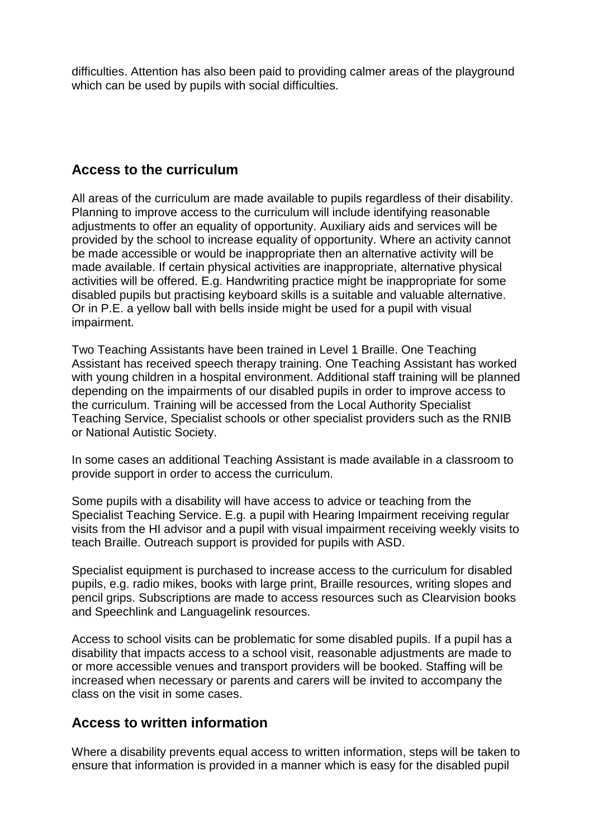difficulties. Attention has also been paid to providing calmer areas of the playground which can be used by pupils with social difficulties.

### **Access to the curriculum**

All areas of the curriculum are made available to pupils regardless of their disability. Planning to improve access to the curriculum will include identifying reasonable adjustments to offer an equality of opportunity. Auxiliary aids and services will be provided by the school to increase equality of opportunity. Where an activity cannot be made accessible or would be inappropriate then an alternative activity will be made available. If certain physical activities are inappropriate, alternative physical activities will be offered. E.g. Handwriting practice might be inappropriate for some disabled pupils but practising keyboard skills is a suitable and valuable alternative. Or in P.E. a yellow ball with bells inside might be used for a pupil with visual impairment.

Two Teaching Assistants have been trained in Level 1 Braille. One Teaching Assistant has received speech therapy training. One Teaching Assistant has worked with young children in a hospital environment. Additional staff training will be planned depending on the impairments of our disabled pupils in order to improve access to the curriculum. Training will be accessed from the Local Authority Specialist Teaching Service, Specialist schools or other specialist providers such as the RNIB or National Autistic Society.

In some cases an additional Teaching Assistant is made available in a classroom to provide support in order to access the curriculum.

Some pupils with a disability will have access to advice or teaching from the Specialist Teaching Service. E.g. a pupil with Hearing Impairment receiving regular visits from the HI advisor and a pupil with visual impairment receiving weekly visits to teach Braille. Outreach support is provided for pupils with ASD.

Specialist equipment is purchased to increase access to the curriculum for disabled pupils, e.g. radio mikes, books with large print, Braille resources, writing slopes and pencil grips. Subscriptions are made to access resources such as Clearvision books and Speechlink and Languagelink resources.

Access to school visits can be problematic for some disabled pupils. If a pupil has a disability that impacts access to a school visit, reasonable adjustments are made to or more accessible venues and transport providers will be booked. Staffing will be increased when necessary or parents and carers will be invited to accompany the class on the visit in some cases.

### **Access to written information**

Where a disability prevents equal access to written information, steps will be taken to ensure that information is provided in a manner which is easy for the disabled pupil